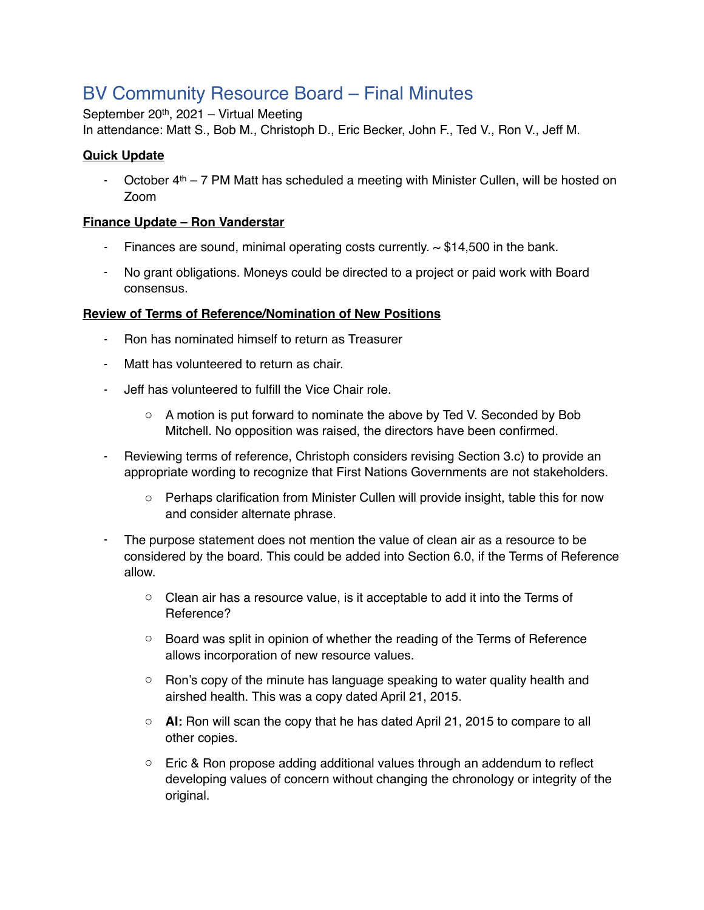# BV Community Resource Board – Final Minutes

September 20th, 2021 – Virtual Meeting

In attendance: Matt S., Bob M., Christoph D., Eric Becker, John F., Ted V., Ron V., Jeff M.

### **Quick Update**

- October  $4th - 7$  PM Matt has scheduled a meeting with Minister Cullen, will be hosted on Zoom

#### **Finance Update – Ron Vanderstar**

- Finances are sound, minimal operating costs currently.  $\sim$  \$14,500 in the bank.
- No grant obligations. Moneys could be directed to a project or paid work with Board consensus.

#### **Review of Terms of Reference/Nomination of New Positions**

- Ron has nominated himself to return as Treasurer
- Matt has volunteered to return as chair.
- Jeff has volunteered to fulfill the Vice Chair role.
	- o A motion is put forward to nominate the above by Ted V. Seconded by Bob Mitchell. No opposition was raised, the directors have been confirmed.
- Reviewing terms of reference, Christoph considers revising Section 3.c) to provide an appropriate wording to recognize that First Nations Governments are not stakeholders.
	- $\circ$  Perhaps clarification from Minister Cullen will provide insight, table this for now and consider alternate phrase.
- The purpose statement does not mention the value of clean air as a resource to be considered by the board. This could be added into Section 6.0, if the Terms of Reference allow.
	- o Clean air has a resource value, is it acceptable to add it into the Terms of Reference?
	- $\circ$  Board was split in opinion of whether the reading of the Terms of Reference allows incorporation of new resource values.
	- $\circ$  Ron's copy of the minute has language speaking to water quality health and airshed health. This was a copy dated April 21, 2015.
	- o **AI:** Ron will scan the copy that he has dated April 21, 2015 to compare to all other copies.
	- $\circ$  Eric & Ron propose adding additional values through an addendum to reflect developing values of concern without changing the chronology or integrity of the original.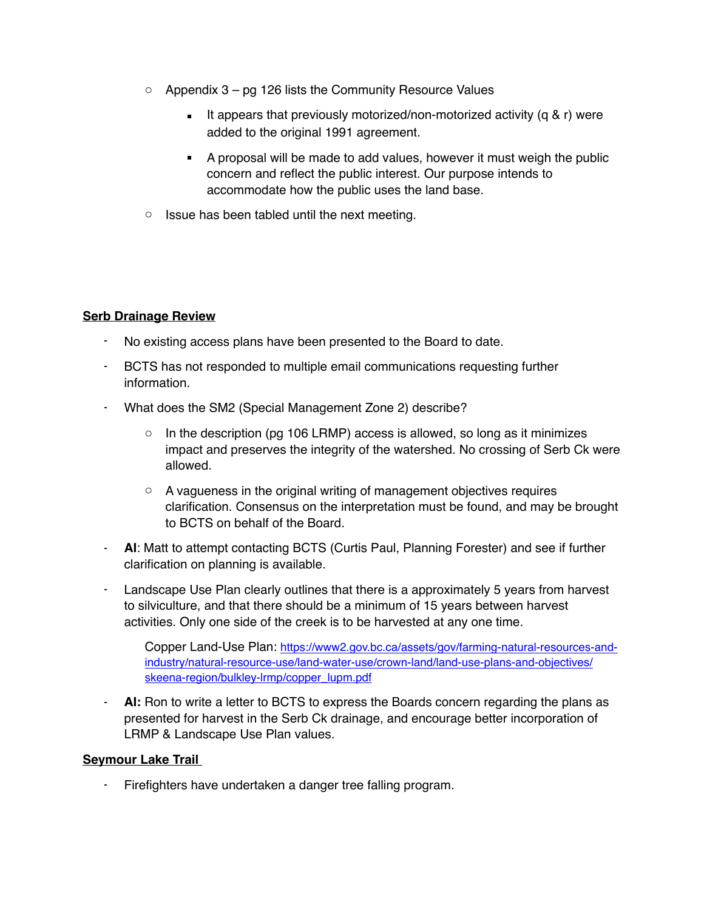- $\circ$  Appendix 3 pg 126 lists the Community Resource Values
	- **EXECT** It appears that previously motorized/non-motorized activity (q & r) were added to the original 1991 agreement.
	- A proposal will be made to add values, however it must weigh the public concern and reflect the public interest. Our purpose intends to accommodate how the public uses the land base.
- $\circ$  Issue has been tabled until the next meeting.

#### **Serb Drainage Review**

- No existing access plans have been presented to the Board to date.
- BCTS has not responded to multiple email communications requesting further information.
- What does the SM2 (Special Management Zone 2) describe?
	- $\circ$  In the description (pg 106 LRMP) access is allowed, so long as it minimizes impact and preserves the integrity of the watershed. No crossing of Serb Ck were allowed.
	- $\circ$  A vagueness in the original writing of management objectives requires clarification. Consensus on the interpretation must be found, and may be brought to BCTS on behalf of the Board.
- **AI**: Matt to attempt contacting BCTS (Curtis Paul, Planning Forester) and see if further clarification on planning is available.
- Landscape Use Plan clearly outlines that there is a approximately 5 years from harvest to silviculture, and that there should be a minimum of 15 years between harvest activities. Only one side of the creek is to be harvested at any one time.

[Copper Land-Use Plan: https://www2.gov.bc.ca/assets/gov/farming-natural-resources-and](https://www2.gov.bc.ca/assets/gov/farming-natural-resources-and-industry/natural-resource-use/land-water-use/crown-land/land-use-plans-and-objectives/skeena-region/bulkley-lrmp/copper_lupm.pdf)industry/natural-resource-use/land-water-use/crown-land/land-use-plans-and-objectives/ skeena-region/bulkley-lrmp/copper\_lupm.pdf

AI: Ron to write a letter to BCTS to express the Boards concern regarding the plans as presented for harvest in the Serb Ck drainage, and encourage better incorporation of LRMP & Landscape Use Plan values.

#### **Seymour Lake Trail**

Firefighters have undertaken a danger tree falling program.